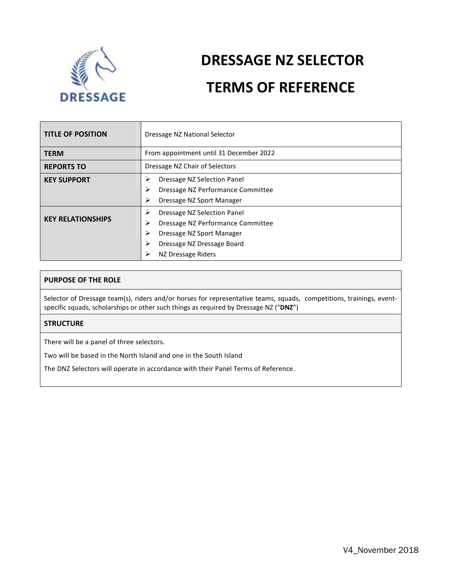

# **DRESSAGE NZ SELECTOR TERMS OF REFERENCE**

| <b>TITLE OF POSITION</b> | Dressage NZ National Selector                                                                                                                                              |  |
|--------------------------|----------------------------------------------------------------------------------------------------------------------------------------------------------------------------|--|
| <b>TERM</b>              | From appointment until 31 December 2022                                                                                                                                    |  |
| <b>REPORTS TO</b>        | Dressage NZ Chair of Selectors                                                                                                                                             |  |
| <b>KEY SUPPORT</b>       | Dressage NZ Selection Panel<br>⋗<br>⋗<br>Dressage NZ Performance Committee<br>≻<br>Dressage NZ Sport Manager                                                               |  |
| <b>KEY RELATIONSHIPS</b> | Dressage NZ Selection Panel<br>≻<br>≻<br>Dressage NZ Performance Committee<br>≻<br>Dressage NZ Sport Manager<br>⋗<br>Dressage NZ Dressage Board<br>⋗<br>NZ Dressage Riders |  |

## **PURPOSE OF THE ROLE**

Selector of Dressage team(s), riders and/or horses for representative teams, squads, competitions, trainings, eventspecific squads, scholarships or other such things as required by Dressage NZ ("**DNZ**")

# **STRUCTURE**

There will be a panel of three selectors.

Two will be based in the North Island and one in the South Island

The DNZ Selectors will operate in accordance with their Panel Terms of Reference.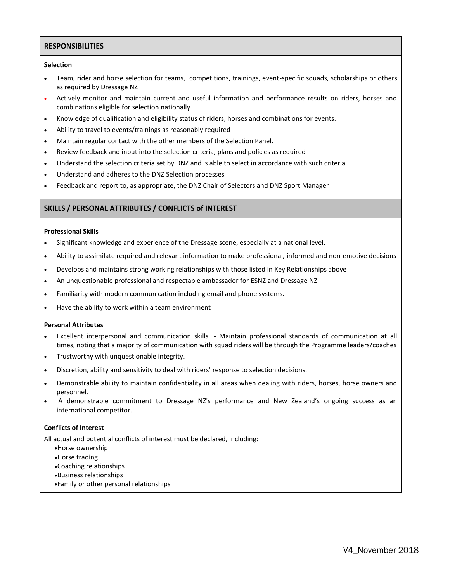## **RESPONSIBILITIES**

### **Selection**

- Team, rider and horse selection for teams, competitions, trainings, event-specific squads, scholarships or others as required by Dressage NZ
- Actively monitor and maintain current and useful information and performance results on riders, horses and combinations eligible for selection nationally
- Knowledge of qualification and eligibility status of riders, horses and combinations for events.
- Ability to travel to events/trainings as reasonably required
- Maintain regular contact with the other members of the Selection Panel.
- Review feedback and input into the selection criteria, plans and policies as required
- Understand the selection criteria set by DNZ and is able to select in accordance with such criteria
- Understand and adheres to the DNZ Selection processes
- Feedback and report to, as appropriate, the DNZ Chair of Selectors and DNZ Sport Manager

## **SKILLS / PERSONAL ATTRIBUTES / CONFLICTS of INTEREST**

#### **Professional Skills**

- Significant knowledge and experience of the Dressage scene, especially at a national level.
- Ability to assimilate required and relevant information to make professional, informed and non-emotive decisions
- Develops and maintains strong working relationships with those listed in Key Relationships above
- An unquestionable professional and respectable ambassador for ESNZ and Dressage NZ
- Familiarity with modern communication including email and phone systems.
- Have the ability to work within a team environment

#### **Personal Attributes**

- Excellent interpersonal and communication skills. Maintain professional standards of communication at all times, noting that a majority of communication with squad riders will be through the Programme leaders/coaches
- Trustworthy with unquestionable integrity.
- Discretion, ability and sensitivity to deal with riders' response to selection decisions.
- Demonstrable ability to maintain confidentiality in all areas when dealing with riders, horses, horse owners and personnel.
- A demonstrable commitment to Dressage NZ's performance and New Zealand's ongoing success as an international competitor.

### **Conflicts of Interest**

All actual and potential conflicts of interest must be declared, including:

- Horse ownership
- Horse trading
- Coaching relationships
- Business relationships
- Family or other personal relationships